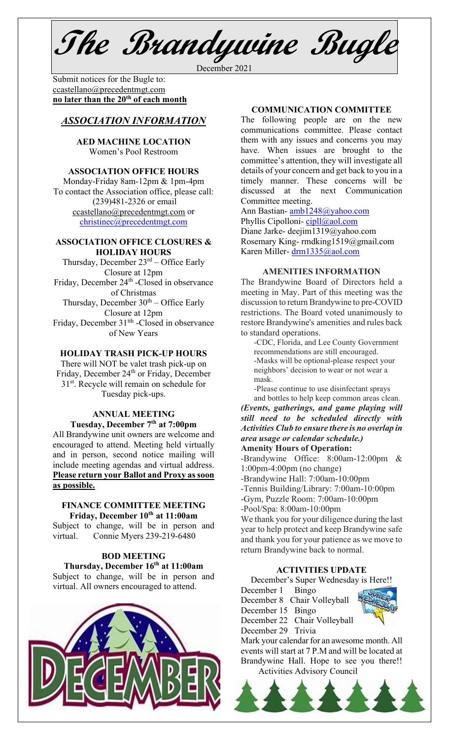**The Brandywine Bugle**

December 2021

Submit notices for the Bugle to:[ccastellano@precedentmgt.com](mailto:johnandbethgrooms@gmail.com) **no later than the 20th of each month**

# *ASSOCIATION INFORMATION*

**AED MACHINE LOCATION**  Women's Pool Restroom

#### **ASSOCIATION OFFICE HOURS**

Monday-Friday 8am-12pm & 1pm-4pm To contact the Association office, please call: (239)481-2326 or email [ccastellano@precedentmgt.com](mailto:ccastellano@precedentmgt.com) or [christinec@precedentmgt.com](mailto:christinec@precedentmgt.com)

#### **ASSOCIATION OFFICE CLOSURES & HOLIDAY HOURS**

Thursday, December  $23<sup>rd</sup>$  – Office Early Closure at 12pm Friday, December 24<sup>th</sup> -Closed in observance of Christmas Thursday, December  $30<sup>th</sup> -$  Office Early Closure at 12pm Friday, December 31<sup>th</sup> -Closed in observance of New Years

# **HOLIDAY TRASH PICK-UP HOURS**

There will NOT be valet trash pick-up on Friday, December 24<sup>th</sup> or Friday, December 31<sup>st</sup>. Recycle will remain on schedule for Tuesday pick-ups.

#### **ANNUAL MEETING Tuesday, December 7th at 7:00pm**

All Brandywine unit owners are welcome and encouraged to attend. Meeting held virtually and in person, second notice mailing will include meeting agendas and virtual address. **Please return your Ballot and Proxy as soon as possible.**

#### **FINANCE COMMITTEE MEETING Friday, December 10th at 11:00am**

Subject to change, will be in person and virtual. Connie Myers 239-219-6480

## **BOD MEETING**

**Thursday, December 16th at 11:00am** Subject to change, will be in person and virtual. All owners encouraged to attend.



## **COMMUNICATION COMMITTEE**

The following people are on the new communications committee. Please contact them with any issues and concerns you may have. When issues are brought to the committee's attention, they will investigate all details of your concern and get back to you in a timely manner. These concerns will be discussed at the next Communication Committee meeting.

Ann Bastian- [amb1248@yahoo.com](mailto:amb1248@yahoo.com) Phyllis Cipolloni-[cipll@aol.com](mailto:cipll@aol.com) Diane Jarke- deejim1319@yahoo.com Rosemary King- rmdking1519@gmail.com Karen Miller- [drm1335@aol.com](mailto:drm1335@aol.com)

#### **AMENITIES INFORMATION**

The Brandywine Board of Directors held a meeting in May. Part of this meeting was the discussion to return Brandywine to pre-COVID restrictions. The Board voted unanimously to restore Brandywine's amenities and rules back to standard operations.

-CDC, Florida, and Lee County Government recommendations are still encouraged. -Masks will be optional-please respect your neighbors' decision to wear or not wear a mask.

-Please continue to use disinfectant sprays and bottles to help keep common areas clean.

*(Events, gatherings, and game playing will still need to be scheduled directly with Activities Club to ensure there is no overlap in area usage or calendar schedule.)*

**Amenity Hours of Operation:**

-Brandywine Office: 8:00am-12:00pm & 1:00pm-4:00pm (no change)

-Brandywine Hall: 7:00am-10:00pm

-Tennis Building/Library: 7:00am-10:00pm

-Gym, Puzzle Room: 7:00am-10:00pm

-Pool/Spa: 8:00am-10:00pm

We thank you for your diligence during the last year to help protect and keep Brandywine safe and thank you for your patience as we move to return Brandywine back to normal.

#### **ACTIVITIES UPDATE**

December's Super Wednesday is Here!!

December 1 Bingo December 8 Chair Volleyball December 15 Bingo December 22 Chair Volleyball December 29 Trivia Mark your calendar for an awesome month. All events will start at 7 P.M and will be located at Brandywine Hall. Hope to see you there!!

Activities Advisory Council

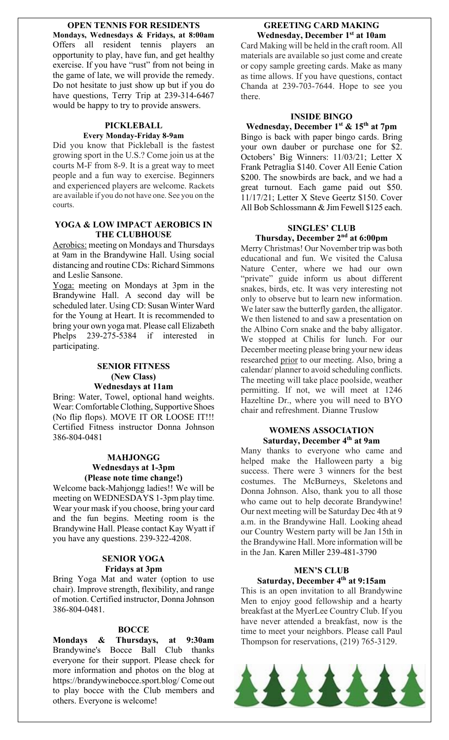**OPEN TENNIS FOR RESIDENTS**

**Mondays, Wednesdays & Fridays, at 8:00am** Offers all resident tennis players an opportunity to play, have fun, and get healthy exercise. If you have "rust" from not being in the game of late, we will provide the remedy. Do not hesitate to just show up but if you do have questions, Terry Trip at 239-314-6467 would be happy to try to provide answers.

#### **PICKLEBALL Every Monday-Friday 8-9am**

Did you know that Pickleball is the fastest growing sport in the U.S.? Come join us at the courts M-F from 8-9. It is a great way to meet people and a fun way to exercise. Beginners and experienced players are welcome. Rackets are available if you do not have one. See you on the courts.

### **YOGA & LOW IMPACT AEROBICS IN THE CLUBHOUSE**

Aerobics: meeting on Mondays and Thursdays at 9am in the Brandywine Hall. Using social distancing and routine CDs: Richard Simmons and Leslie Sansone.

Yoga: meeting on Mondays at 3pm in the Brandywine Hall. A second day will be scheduled later. Using CD: Susan Winter Ward for the Young at Heart. It is recommended to bring your own yoga mat. Please call Elizabeth Phelps 239-275-5384 if interested in participating.

#### **SENIOR FITNESS (New Class) Wednesdays at 11am**

Bring: Water, Towel, optional hand weights. Wear: Comfortable Clothing, Supportive Shoes (No flip flops). MOVE IT OR LOOSE IT!!! Certified Fitness instructor Donna Johnson 386-804-0481

#### **MAHJONGG Wednesdays at 1-3pm (Please note time change!)**

Welcome back-Mahjongg ladies!! We will be meeting on WEDNESDAYS 1-3pm play time. Wear your mask if you choose, bring your card and the fun begins. Meeting room is the Brandywine Hall. Please contact Kay Wyatt if you have any questions. 239-322-4208.

## **SENIOR YOGA Fridays at 3pm**

Bring Yoga Mat and water (option to use chair). Improve strength, flexibility, and range of motion. Certified instructor, Donna Johnson 386-804-0481.

## **BOCCE**

**Mondays & Thursdays, at 9:30am** Brandywine's Bocce Ball Club thanks everyone for their support. Please check for more information and photos on the blog at https://brandywinebocce.sport.blog/ Come out to play bocce with the Club members and others. Everyone is welcome!

# **GREETING CARD MAKING Wednesday, December 1st at 10am**

Card Making will be held in the craft room. All materials are available so just come and create or copy sample greeting cards. Make as many as time allows. If you have questions, contact Chanda at 239-703-7644. Hope to see you there.

#### **INSIDE BINGO**

#### **Wednesday, December 1st & 15th at 7pm**

Bingo is back with paper bingo cards. Bring your own dauber or purchase one for \$2. Octobers' Big Winners: 11/03/21; Letter X Frank Petraglia \$140. Cover All Eenie Cation \$200. The snowbirds are back, and we had a great turnout. Each game paid out \$50. 11/17/21; Letter X Steve Geertz \$150. Cover All Bob Schlossmann & Jim Fewell \$125 each.

# **SINGLES' CLUB Thursday, December 2nd at 6:00pm**

Merry Christmas! Our November trip was both educational and fun. We visited the Calusa Nature Center, where we had our own "private" guide inform us about different snakes, birds, etc. It was very interesting not only to observe but to learn new information. We later saw the butterfly garden, the alligator. We then listened to and saw a presentation on the Albino Corn snake and the baby alligator. We stopped at Chilis for lunch. For our December meeting please bring your new ideas researched prior to our meeting. Also, bring a calendar/ planner to avoid scheduling conflicts. The meeting will take place poolside, weather permitting. If not, we will meet at 1246 Hazeltine Dr., where you will need to BYO chair and refreshment. Dianne Truslow

### **WOMENS ASSOCIATION Saturday, December 4th at 9am**

Many thanks to everyone who came and helped make the Halloween party a big success. There were 3 winners for the best costumes. The McBurneys, Skeletons and Donna Johnson. Also, thank you to all those who came out to help decorate Brandywine! Our next meeting will be Saturday Dec 4th at 9 a.m. in the Brandywine Hall. Looking ahead our Country Western party will be Jan 15th in the Brandywine Hall. More information will be in the Jan. Karen Miller 239-481-3790

## **MEN'S CLUB Saturday, December 4th at 9:15am**

This is an open invitation to all Brandywine Men to enjoy good fellowship and a hearty breakfast at the MyerLee Country Club. If you have never attended a breakfast, now is the time to meet your neighbors. Please call Paul Thompson for reservations, (219) 765-3129.

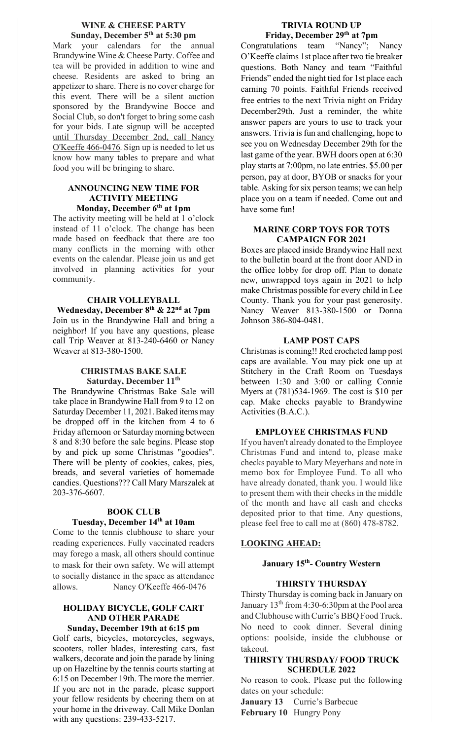#### **WINE & CHEESE PARTY Sunday, December 5th at 5:30 pm**

Mark your calendars for the annual Brandywine Wine & Cheese Party. Coffee and tea will be provided in addition to wine and cheese. Residents are asked to bring an appetizer to share. There is no cover charge for this event. There will be a silent auction sponsored by the Brandywine Bocce and Social Club, so don't forget to bring some cash for your bids. Late signup will be accepted until Thursday December 2nd, call Nancy O'Keeffe 466-0476. Sign up is needed to let us know how many tables to prepare and what food you will be bringing to share.

# **ANNOUNCING NEW TIME FOR ACTIVITY MEETING Monday, December 6th at 1pm**

The activity meeting will be held at 1 o'clock instead of 11 o'clock. The change has been made based on feedback that there are too many conflicts in the morning with other events on the calendar. Please join us and get involved in planning activities for your community.

#### **CHAIR VOLLEYBALL**

**Wednesday, December 8th & 22nd at 7pm** Join us in the Brandywine Hall and bring a neighbor! If you have any questions, please call Trip Weaver at 813-240-6460 or Nancy Weaver at 813-380-1500.

#### **CHRISTMAS BAKE SALE Saturday, December 11th**

The Brandywine Christmas Bake Sale will take place in Brandywine Hall from 9 to 12 on Saturday December 11, 2021.Baked items may be dropped off in the kitchen from 4 to 6 Friday afternoon or Saturday morning between 8 and 8:30 before the sale begins. Please stop by and pick up some Christmas "goodies". There will be plenty of cookies, cakes, pies, breads, and several varieties of homemade candies. Questions??? Call Mary Marszalek at 203-376-6607.

#### **BOOK CLUB Tuesday, December 14th at 10am**

Come to the tennis clubhouse to share your reading experiences. Fully vaccinated readers may forego a mask, all others should continue to mask for their own safety. We will attempt to socially distance in the space as attendance allows. Nancy O'Keeffe 466-0476

#### **HOLIDAY BICYCLE, GOLF CART AND OTHER PARADE Sunday, December 19th at 6:15 pm**

Golf carts, bicycles, motorcycles, segways, scooters, roller blades, interesting cars, fast walkers, decorate and join the parade by lining up on Hazeltine by the tennis courts starting at 6:15 on December 19th. The more the merrier. If you are not in the parade, please support your fellow residents by cheering them on at your home in the driveway. Call Mike Donlan with any questions: 239-433-5217.

# **TRIVIA ROUND UP Friday, December 29th at 7pm**

Congratulations team "Nancy"; Nancy O'Keeffe claims 1st place after two tie breaker questions. Both Nancy and team "Faithful Friends" ended the night tied for 1st place each earning 70 points. Faithful Friends received free entries to the next Trivia night on Friday December29th. Just a reminder, the white answer papers are yours to use to track your answers. Trivia is fun and challenging, hope to see you on Wednesday December 29th for the last game of the year. BWH doors open at 6:30 play starts at 7:00pm, no late entries. \$5.00 per person, pay at door, BYOB or snacks for your table. Asking for six person teams; we can help place you on a team if needed. Come out and have some fun!

# **MARINE CORP TOYS FOR TOTS CAMPAIGN FOR 2021**

Boxes are placed inside Brandywine Hall next to the bulletin board at the front door AND in the office lobby for drop off. Plan to donate new, unwrapped toys again in 2021 to help make Christmas possible for every child in Lee County. Thank you for your past generosity. Nancy Weaver 813-380-1500 or Donna Johnson 386-804-0481.

# **LAMP POST CAPS**

Christmas is coming!! Red crocheted lamp post caps are available. You may pick one up at Stitchery in the Craft Room on Tuesdays between 1:30 and 3:00 or calling Connie Myers at (781)534-1969. The cost is \$10 per cap. Make checks payable to Brandywine Activities (B.A.C.).

## **EMPLOYEE CHRISTMAS FUND**

If you haven't already donated to the Employee Christmas Fund and intend to, please make checks payable to Mary Meyerhans and note in memo box for Employee Fund. To all who have already donated, thank you. I would like to present them with their checks in the middle of the month and have all cash and checks deposited prior to that time. Any questions, please feel free to call me at (860) 478-8782.

## **LOOKING AHEAD:**

# **January 15th- Country Western**

## **THIRSTY THURSDAY**

Thirsty Thursday is coming back in January on January  $13<sup>th</sup>$  from 4:30-6:30pm at the Pool area and Clubhouse with Currie's BBQ Food Truck. No need to cook dinner. Several dining options: poolside, inside the clubhouse or takeout.

## **THIRSTY THURSDAY/ FOOD TRUCK SCHEDULE 2022**

No reason to cook. Please put the following dates on your schedule:

**January 13** Currie's Barbecue **February 10** Hungry Pony